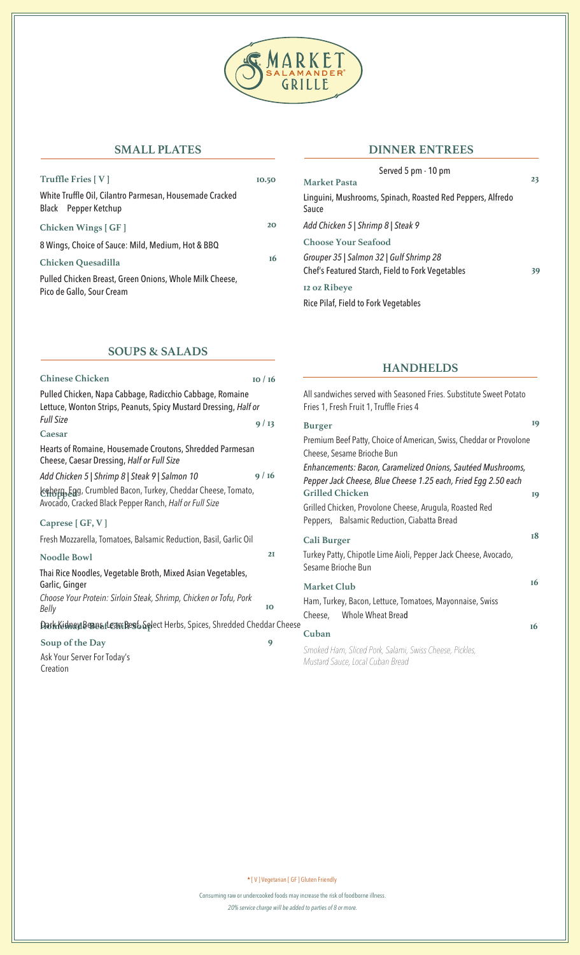

## **SMALL PLATES**

| Truffle Fries [V]                                                                    | 10.50     |
|--------------------------------------------------------------------------------------|-----------|
| White Truffle Oil, Cilantro Parmesan, Housemade Cracked<br>Black Pepper Ketchup      |           |
| Chicken Wings [ GF ]                                                                 | 20        |
| 8 Wings, Choice of Sauce: Mild, Medium, Hot & BBQ                                    |           |
| Chicken Quesadilla                                                                   | <b>16</b> |
| Pulled Chicken Breast, Green Onions, Whole Milk Cheese,<br>Pico de Gallo, Sour Cream |           |

### **DINNER ENTREES**

| Served 5 pm - 10 pm                                                 |    |
|---------------------------------------------------------------------|----|
| Market Pasta                                                        | 23 |
| Linguini, Mushrooms, Spinach, Roasted Red Peppers, Alfredo<br>Sauce |    |
| Add Chicken 5   Shrimp 8   Steak 9                                  |    |
| <b>Choose Your Seafood</b>                                          |    |
| Grouper 35   Salmon 32   Gulf Shrimp 28                             |    |
| Chef's Featured Starch, Field to Fork Vegetables                    | 39 |
| 12 oz Ribeye                                                        |    |
| Rice Pilaf, Field to Fork Vegetables                                |    |

## **SOUPS & SALADS**

|                                                                                                                                                                                                                                                                                                                                        |              | <b>HANDHELDS</b>                                                                                                                                                                                                                                                                                                                                                                        |           |  |
|----------------------------------------------------------------------------------------------------------------------------------------------------------------------------------------------------------------------------------------------------------------------------------------------------------------------------------------|--------------|-----------------------------------------------------------------------------------------------------------------------------------------------------------------------------------------------------------------------------------------------------------------------------------------------------------------------------------------------------------------------------------------|-----------|--|
| <b>Chinese Chicken</b><br>Pulled Chicken, Napa Cabbage, Radicchio Cabbage, Romaine<br>Lettuce, Wonton Strips, Peanuts, Spicy Mustard Dressing, Half or                                                                                                                                                                                 | 10/16        | All sandwiches served with Seasoned Fries. Substitute Sweet Potato<br>Fries 1, Fresh Fruit 1, Truffle Fries 4                                                                                                                                                                                                                                                                           |           |  |
| <b>Full Size</b><br>Caesar<br>Hearts of Romaine, Housemade Croutons, Shredded Parmesan<br>Cheese, Caesar Dressing, Half or Full Size<br>Add Chicken 5   Shrimp 8   Steak 9   Salmon 10<br>letherg, Egg, Crumbled Bacon, Turkey, Cheddar Cheese, Tomato,<br>Avocado, Cracked Black Pepper Ranch, Half or Full Size<br>Caprese [ GF, V ] | 9/13<br>9/16 | <b>Burger</b><br>Premium Beef Patty, Choice of American, Swiss, Cheddar or Provolone<br>Cheese, Sesame Brioche Bun<br>Enhancements: Bacon, Caramelized Onions, Sautéed Mushrooms,<br>Pepper Jack Cheese, Blue Cheese 1.25 each, Fried Egg 2.50 each<br><b>Grilled Chicken</b><br>Grilled Chicken, Provolone Cheese, Arugula, Roasted Red<br>Peppers, Balsamic Reduction, Ciabatta Bread | 19<br>19  |  |
| Fresh Mozzarella, Tomatoes, Balsamic Reduction, Basil, Garlic Oil<br><b>Noodle Bowl</b>                                                                                                                                                                                                                                                | 2I           | <b>Cali Burger</b><br>Turkey Patty, Chipotle Lime Aioli, Pepper Jack Cheese, Avocado,<br>Sesame Brioche Bun                                                                                                                                                                                                                                                                             | <b>18</b> |  |
| Thai Rice Noodles, Vegetable Broth, Mixed Asian Vegetables,<br>Garlic, Ginger<br>Choose Your Protein: Sirloin Steak, Shrimp, Chicken or Tofu, Pork<br>Belly                                                                                                                                                                            | 10           | <b>Market Club</b><br>Ham, Turkey, Bacon, Lettuce, Tomatoes, Mayonnaise, Swiss<br>Whole Wheat Bread<br>Cheese,                                                                                                                                                                                                                                                                          | <b>16</b> |  |
| DarkKidnay Bases dean Best Select Herbs, Spices, Shredded Cheddar Cheese<br>Soup of the Day<br>Ask Your Server For Today's<br>Creation                                                                                                                                                                                                 | 9            | Cuban<br>Smoked Ham, Sliced Pork, Salami, Swiss Cheese, Pickles,<br>Mustard Sauce, Local Cuban Bread                                                                                                                                                                                                                                                                                    | <b>16</b> |  |

\* [ V ] Vegetarian [ GF ] Gluten Friendly

Consuming raw or undercooked foods may increase the risk of foodborne illness. *20% service charge will be added to parties of 8 or more.*